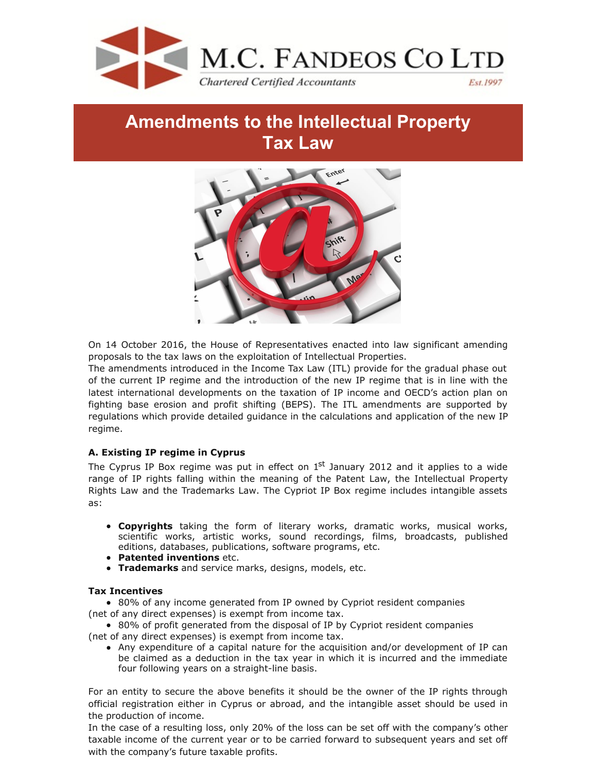

# **Amendments to the Intellectual Property Tax Law**



On 14 October 2016, the House of Representatives enacted into law significant amending proposals to the tax laws on the exploitation of Intellectual Properties.

The amendments introduced in the Income Tax Law (ITL) provide for the gradual phase out of the current IP regime and the introduction of the new IP regime that is in line with the latest international developments on the taxation of IP income and OECD's action plan on fighting base erosion and profit shifting (BEPS). The ITL amendments are supported by regulations which provide detailed guidance in the calculations and application of the new IP regime.

# **A. Existing IP regime in Cyprus**

The Cyprus IP Box regime was put in effect on  $1<sup>st</sup>$  January 2012 and it applies to a wide range of IP rights falling within the meaning of the Patent Law, the Intellectual Property Rights Law and the Trademarks Law. The Cypriot IP Box regime includes intangible assets as:

- **Copyrights** taking the form of literary works, dramatic works, musical works, scientific works, artistic works, sound recordings, films, broadcasts, published editions, databases, publications, software programs, etc.
- **Patented inventions** etc.
- **Trademarks** and service marks, designs, models, etc.

# **Tax Incentives**

• 80% of any income generated from IP owned by Cypriot resident companies (net of any direct expenses) is exempt from income tax.

• 80% of profit generated from the disposal of IP by Cypriot resident companies (net of any direct expenses) is exempt from income tax.

Any expenditure of a capital nature for the acquisition and/or development of IP can be claimed as a deduction in the tax year in which it is incurred and the immediate four following years on a straight-line basis.

For an entity to secure the above benefits it should be the owner of the IP rights through official registration either in Cyprus or abroad, and the intangible asset should be used in the production of income.

In the case of a resulting loss, only 20% of the loss can be set off with the company's other taxable income of the current year or to be carried forward to subsequent years and set off with the company's future taxable profits.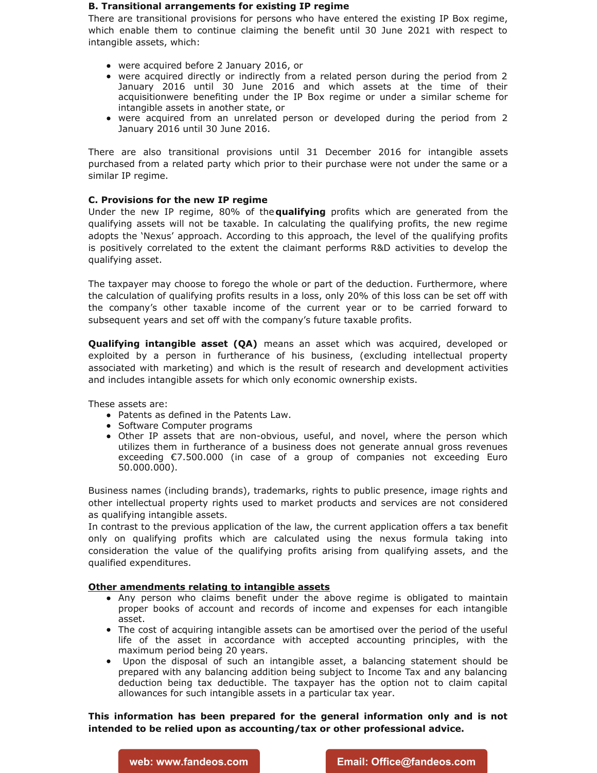#### **B. Transitional arrangements for existing IP regime**

There are transitional provisions for persons who have entered the existing IP Box regime, which enable them to continue claiming the benefit until 30 June 2021 with respect to intangible assets, which:

- were acquired before 2 January 2016, or
- were acquired directly or indirectly from a related person during the period from 2 January 2016 until 30 June 2016 and which assets at the time of their acquisitionwere benefiting under the IP Box regime or under a similar scheme for intangible assets in another state, or
- were acquired from an unrelated person or developed during the period from 2 January 2016 until 30 June 2016.

There are also transitional provisions until 31 December 2016 for intangible assets purchased from a related party which prior to their purchase were not under the same or a similar IP regime.

# **C. Provisions for the new IP regime**

Under the new IP regime, 80% of the**qualifying** profits which are generated from the qualifying assets will not be taxable. In calculating the qualifying profits, the new regime adopts the 'Nexus' approach. According to this approach, the level of the qualifying profits is positively correlated to the extent the claimant performs R&D activities to develop the qualifying asset.

The taxpayer may choose to forego the whole or part of the deduction. Furthermore, where the calculation of qualifying profits results in a loss, only 20% of this loss can be set off with the company's other taxable income of the current year or to be carried forward to subsequent years and set off with the company's future taxable profits.

**Qualifying intangible asset (QA)** means an asset which was acquired, developed or exploited by a person in furtherance of his business, (excluding intellectual property associated with marketing) and which is the result of research and development activities and includes intangible assets for which only economic ownership exists.

These assets are:

- Patents as defined in the Patents Law.
- Software Computer programs
- Other IP assets that are non-obvious, useful, and novel, where the person which utilizes them in furtherance of a business does not generate annual gross revenues exceeding €7.500.000 (in case of a group of companies not exceeding Euro 50.000.000).

Business names (including brands), trademarks, rights to public presence, image rights and other intellectual property rights used to market products and services are not considered as qualifying intangible assets.

In contrast to the previous application of the law, the current application offers a tax benefit only on qualifying profits which are calculated using the nexus formula taking into consideration the value of the qualifying profits arising from qualifying assets, and the qualified expenditures.

# **Other amendments relating to intangible assets**

- Any person who claims benefit under the above regime is obligated to maintain proper books of account and records of income and expenses for each intangible asset.
- The cost of acquiring intangible assets can be amortised over the period of the useful life of the asset in accordance with accepted accounting principles, with the maximum period being 20 years.
- Upon the disposal of such an intangible asset, a balancing statement should be prepared with any balancing addition being subject to Income Tax and any balancing deduction being tax deductible. The taxpayer has the option not to claim capital allowances for such intangible assets in a particular tax year.

**This information has been prepared for the general information only and is not intended to be relied upon as accounting/tax or other professional advice.**